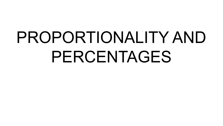# PROPORTIONALITY AND PERCENTAGES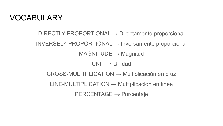#### VOCABULARY

 $DIRECTLY PROPORTIONAL \rightarrow Directionente proportional$  $INVERSELY PROPORTIONAL \rightarrow Inversion$  $MAGNITUDE \rightarrow Magnitud$  $UNIT \rightarrow Unidad$ CROSS-MULITPLICATION → Multiplicación en cruz  $LINE-MULTIPLICATION \rightarrow Multiplicación en línea$  $PERCENTAGE \rightarrow Porcentaje$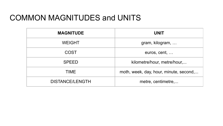#### COMMON MAGNITUDES and UNITS

| <b>MAGNITUDE</b>       | <b>UNIT</b>                            |  |
|------------------------|----------------------------------------|--|
| <b>WEIGHT</b>          | gram, kilogram,                        |  |
| <b>COST</b>            | euros, cent,                           |  |
| <b>SPEED</b>           | kilometre/hour, metre/hour,            |  |
| TIME                   | moth, week, day, hour, minute, second, |  |
| <b>DISTANCE/LENGTH</b> | metre, centimetre,                     |  |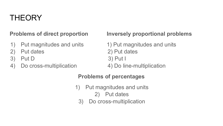#### **THEORY**

- 1) Put magnitudes and units 1) Put magnitudes and units
- 2) Put dates 2) Put dates
- 3) Put D 3) Put I
- 4) Do cross-multiplication 4) Do line-multiplication

#### **Problems of direct proportion Inversely proportional problems**

#### **Problems of percentages**

- 1) Put magnitudes and units
	- 2) Put dates
	- 3) Do cross-multiplication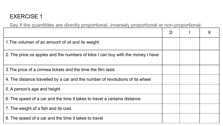#### EXERCISE 1

Say if the quantitites are directly proportional, inversely proportional or non-proportional:

|                                                                                 | D |  |
|---------------------------------------------------------------------------------|---|--|
| 1. The volumen of an amount of oil and its weight                               |   |  |
| 2. The price os apples and the numbers of kilos I can buy with the money I have |   |  |
| 3. The price of a cinmea tickets and the time the film lasts                    |   |  |
| 4. The distance travelled by a car and the number of revolutions of its wheel   |   |  |
| 5. A person's age and height                                                    |   |  |
| 6. The speed of a car and the time it takes to travel a certains distance.      |   |  |
| 7. The weight of a fish and its cost.                                           |   |  |
| 8. The speed of a car and the time it takes to travel                           |   |  |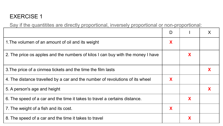#### EXERCISE 1

Say if the quantitites are directly proportional, inversely proportional or non-proportional:

| 1. The volumen of an amount of oil and its weight                               | X |   |   |
|---------------------------------------------------------------------------------|---|---|---|
| 2. The price os apples and the numbers of kilos I can buy with the money I have |   | X |   |
| 3. The price of a cinmea tickets and the time the film lasts                    |   |   | X |
| 4. The distance travelled by a car and the number of revolutions of its wheel   | X |   |   |
| 5. A person's age and height                                                    |   |   |   |
| 6. The speed of a car and the time it takes to travel a certains distance.      |   | X |   |
| 7. The weight of a fish and its cost.                                           | X |   |   |
| 8. The speed of a car and the time it takes to travel                           |   | Χ |   |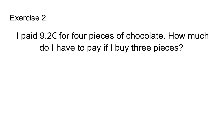### I paid 9.2€ for four pieces of chocolate. How much do I have to pay if I buy three pieces?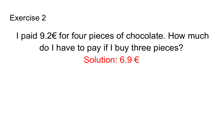#### I paid 9.2€ for four pieces of chocolate. How much do I have to pay if I buy three pieces? Solution: 6.9 €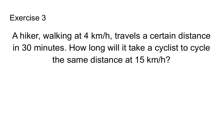A hiker, walking at 4 km/h, travels a certain distance in 30 minutes. How long will it take a cyclist to cycle the same distance at 15 km/h?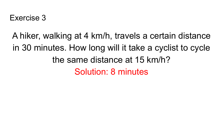A hiker, walking at 4 km/h, travels a certain distance in 30 minutes. How long will it take a cyclist to cycle the same distance at 15 km/h? Solution: 8 minutes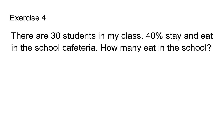#### There are 30 students in my class. 40% stay and eat in the school cafeteria. How many eat in the school?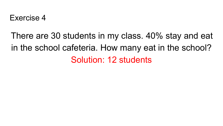## There are 30 students in my class. 40% stay and eat in the school cafeteria. How many eat in the school? Solution: 12 students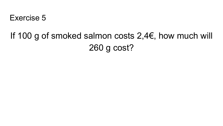

#### If 100 g of smoked salmon costs 2,4€, how much will 260 g cost?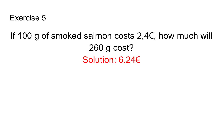#### If 100 g of smoked salmon costs 2,4€, how much will 260 g cost? Solution: 6.24€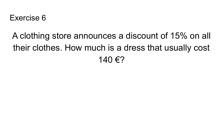### A clothing store announces a discount of 15% on all their clothes. How much is a dress that usually cost 140 €?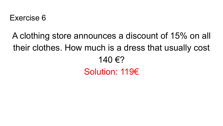## A clothing store announces a discount of 15% on all their clothes. How much is a dress that usually cost 140 €? Solution: 119€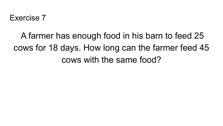## A farmer has enough food in his barn to feed 25 cows for 18 days. How long can the farmer feed 45 cows with the same food?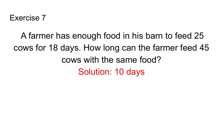## A farmer has enough food in his barn to feed 25 cows for 18 days. How long can the farmer feed 45 cows with the same food? Solution: 10 days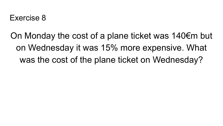On Monday the cost of a plane ticket was 140€m but on Wednesday it was 15% more expensive. What was the cost of the plane ticket on Wednesday?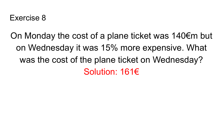On Monday the cost of a plane ticket was 140€m but on Wednesday it was 15% more expensive. What was the cost of the plane ticket on Wednesday? Solution: 161€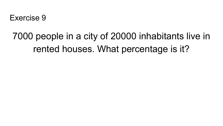## 7000 people in a city of 20000 inhabitants live in rented houses. What percentage is it?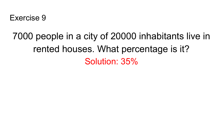## 7000 people in a city of 20000 inhabitants live in rented houses. What percentage is it? Solution: 35%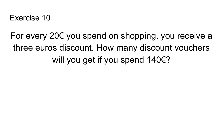For every 20€ you spend on shopping, you receive a three euros discount. How many discount vouchers will you get if you spend 140€?